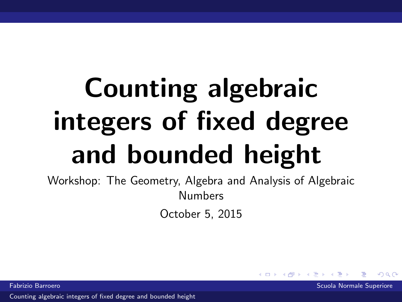# Counting algebraic integers of fixed degree and bounded height

Workshop: The Geometry, Algebra and Analysis of Algebraic Numbers

October 5, 2015

<span id="page-0-0"></span> $\Omega$ 

Fabrizio Barroero Scuola Normale Superiore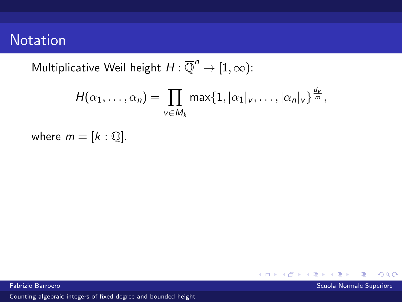# **Notation**

Multiplicative Weil height  $H:\overline{\mathbb{Q}}^n\to[1,\infty)$ :

$$
H(\alpha_1,\ldots,\alpha_n)=\prod_{v\in M_k}\max\{1,|\alpha_1|_v,\ldots,|\alpha_n|_v\}^{\frac{d_v}{m}},
$$

where  $m = [k : \mathbb{Q}]$ .

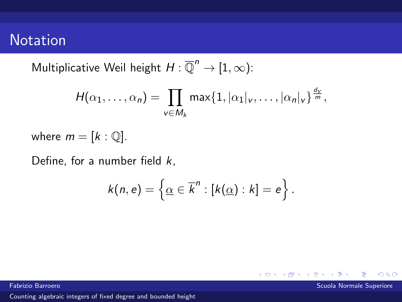# **Notation**

Multiplicative Weil height  $H:\overline{\mathbb{Q}}^n\to[1,\infty)$ :

$$
H(\alpha_1,\ldots,\alpha_n)=\prod_{v\in M_k}\max\{1,|\alpha_1|_v,\ldots,|\alpha_n|_v\}^{\frac{d_v}{m}},
$$

where  $m = [k : \mathbb{Q}]$ .

Define, for a number field  $k$ ,

$$
k(n,e) = \left\{ \underline{\alpha} \in \overline{k}^n : [k(\underline{\alpha}) : k] = e \right\}.
$$

Fabrizio Barroero Scuola Normale Superiore

 $\Omega$ 

**K ロ ▶ K 何 ▶**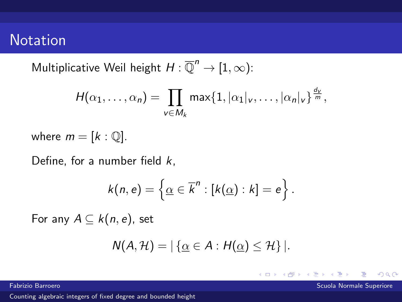# **Notation**

Multiplicative Weil height  $H:\overline{\mathbb{Q}}^n\to[1,\infty)$ :

$$
H(\alpha_1,\ldots,\alpha_n)=\prod_{v\in M_k}\max\{1,|\alpha_1|_v,\ldots,|\alpha_n|_v\}^{\frac{d_v}{m}},
$$

where  $m = [k : \mathbb{Q}]$ .

Define, for a number field  $k$ ,

$$
k(n,e) = \left\{ \underline{\alpha} \in \overline{k}^n : [k(\underline{\alpha}) : k] = e \right\}.
$$

For any  $A \subseteq k(n, e)$ , set

$$
N(A, \mathcal{H}) = |\{\underline{\alpha} \in A : H(\underline{\alpha}) \leq \mathcal{H}\}|.
$$

 $\leftarrow$   $\Box$   $\rightarrow$   $\leftarrow$   $\rightarrow$ 

 $\Omega$ 

Fabrizio Barroero Scuola Normale Superiore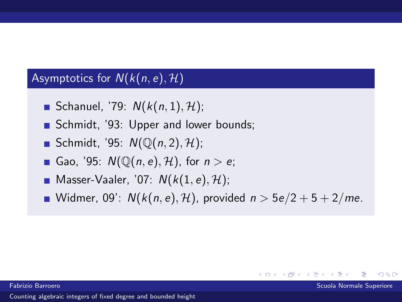## Asymptotics for  $N(k(n, e), \mathcal{H})$

- Schanuel, '79:  $N(k(n, 1), \mathcal{H})$ ;
- Schmidt, '93: Upper and lower bounds;
- Schmidt, '95:  $N(\mathbb{O}(n, 2), \mathcal{H})$ ;
- Gao, '95:  $N(\mathbb{Q}(n, e), \mathcal{H})$ , for  $n > e$ ;
- **Masser-Vaaler, '07:**  $N(k(1, e), \mathcal{H})$ ;
- Widmer, 09':  $N(k(n, e), \mathcal{H})$ , provided  $n > 5e/2 + 5 + 2/me$ .

4 0 8

 $\Omega$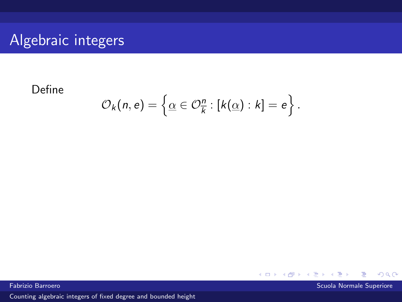# Algebraic integers

### Define

$$
\mathcal{O}_k(n,e) = \left\{ \underline{\alpha} \in \mathcal{O}_{\overline{k}}^n : [k(\underline{\alpha}) : k] = e \right\}.
$$



Fabrizio Barroero Scuola Normale Superiore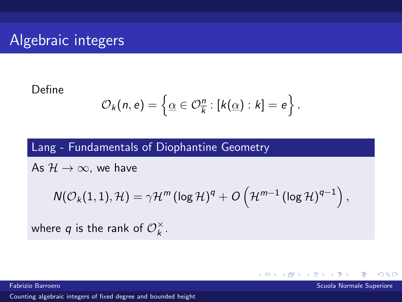# Algebraic integers

#### Define

$$
\mathcal{O}_k(n,e) = \left\{ \underline{\alpha} \in \mathcal{O}_{\overline{k}}^n : [k(\underline{\alpha}) : k] = e \right\}.
$$

## Lang - Fundamentals of Diophantine Geometry

As  $H \to \infty$ , we have

$$
\mathsf{N}(\mathcal{O}_{k}(1,1),\mathcal{H})=\gamma\mathcal{H}^{\mathsf{m}}\left(\log\mathcal{H}\right)^{q}+\mathit{O}\left(\mathcal{H}^{\mathsf{m}-1}\left(\log\mathcal{H}\right)^{q-1}\right),
$$

**←ロ ▶ ← イ 同 →** 

 $\Omega$ 

where  $q$  is the rank of  $\mathcal{O}_{k}^{\times}$  $\frac{\times}{k}$ .

Fabrizio Barroero Scuola Normale Superiore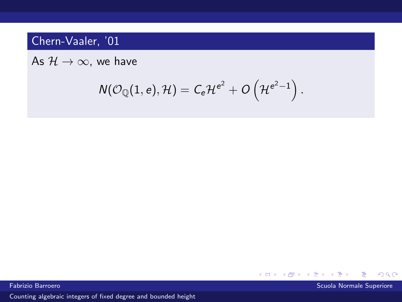## Chern-Vaaler, '01

As  $H \rightarrow \infty$ , we have

$$
\mathsf{N}(\mathcal{O}_{\mathbb{Q}}(1,e),\mathcal{H})=\mathsf{C}_{e}\mathcal{H}^{e^2}+\mathcal{O}\left(\mathcal{H}^{e^2-1}\right).
$$

**K ロ ト K 伊 ト K 毛**  $299$ þ. ∍

Fabrizio Barroero Scuola Normale Superiore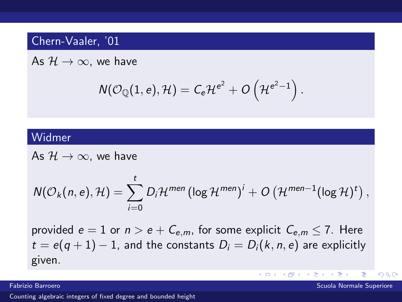### Chern-Vaaler, '01

As  $\mathcal{H} \rightarrow \infty$ , we have

$$
\mathsf{N}(\mathcal{O}_{\mathbb{Q}}(1,e),\mathcal{H})=\mathsf{C}_{e}\mathcal{H}^{e^2}+\mathit{O}\left(\mathcal{H}^{e^2-1}\right).
$$

#### Widmer

As  $\mathcal{H} \rightarrow \infty$ , we have

$$
N(\mathcal{O}_k(n,e),\mathcal{H})=\sum_{i=0}^t D_i\mathcal{H}^{men}(\log \mathcal{H}^{men})^i+O\left(\mathcal{H}^{men-1}(\log \mathcal{H})^t\right),
$$

provided  $e = 1$  or  $n > e + C_{e,m}$ , for some explicit  $C_{e,m} \leq 7$ . Here  $t = e(q + 1) - 1$ , and the constants  $D_i = D_i(k, n, e)$  are explicitly given.

[Counting algebraic integers of fixed degree and bounded height](#page-0-0)

∍

 $\Omega$ 

 $\left\{ \begin{array}{ccc} 1 & 0 & 0 \\ 0 & 1 & 0 \end{array} \right\}$  ,  $\left\{ \begin{array}{ccc} 0 & 0 & 0 \\ 0 & 0 & 0 \end{array} \right\}$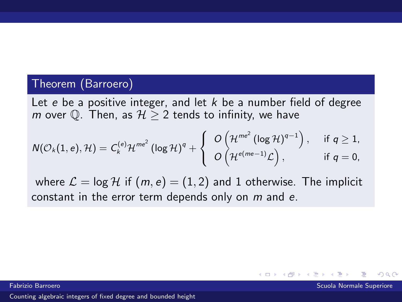#### Theorem (Barroero)

Let e be a positive integer, and let  $k$  be a number field of degree m over  $\mathbb{O}$ . Then, as  $\mathcal{H} > 2$  tends to infinity, we have

$$
N(\mathcal{O}_{k}(1,e),\mathcal{H})=C_{k}^{(e)}\mathcal{H}^{me^{2}}\left(\log\mathcal{H}\right)^{q}+\left\{\begin{array}{ll} O\left(\mathcal{H}^{me^{2}}\left(\log\mathcal{H}\right)^{q-1}\right), & \text{ if } q\geq 1, \\ O\left(\mathcal{H}^{e(me-1)}\mathcal{L}\right), & \text{ if } q=0, \end{array}\right.
$$

where  $\mathcal{L} = \log \mathcal{H}$  if  $(m, e) = (1, 2)$  and 1 otherwise. The implicit constant in the error term depends only on m and e.

4. 0. 8.

 $\Omega$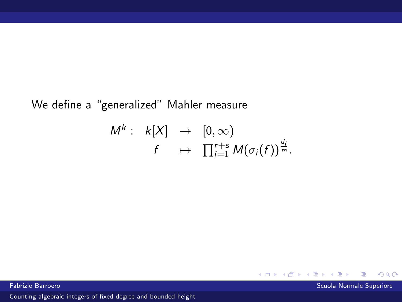## We define a "generalized" Mahler measure

$$
M^{k}: k[X] \rightarrow [0,\infty)
$$
  

$$
f \mapsto \prod_{i=1}^{r+s} M(\sigma_i(f))^{\frac{d_i}{m}}.
$$

Fabrizio Barroero Scuola Normale Superiore

 $299$ 

K ロ ▶ K 伊 ▶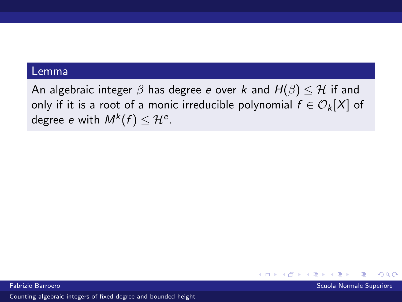#### Lemma

An algebraic integer  $\beta$  has degree e over k and  $H(\beta) \leq \mathcal{H}$  if and only if it is a root of a monic irreducible polynomial  $f \in \mathcal{O}_k[X]$  of degree  $e$  with  $M^{k}(f)\leq\mathcal{H}^{e}.$ 

 $\Omega$ 

 $\leftarrow$   $\Box$   $\rightarrow$   $\rightarrow$   $\Box$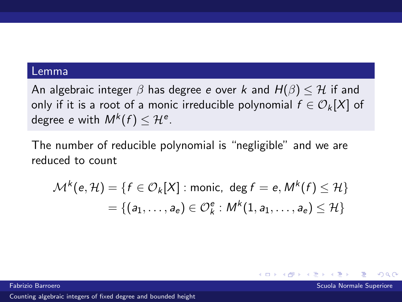#### Lemma

An algebraic integer  $\beta$  has degree e over k and  $H(\beta) \leq H$  if and only if it is a root of a monic irreducible polynomial  $f \in \mathcal{O}_k[X]$  of degree  $e$  with  $M^{k}(f)\leq\mathcal{H}^{e}.$ 

The number of reducible polynomial is "negligible" and we are reduced to count

$$
\mathcal{M}^k(e, \mathcal{H}) = \{ f \in \mathcal{O}_k[X] : \text{monic, } \deg f = e, M^k(f) \leq \mathcal{H} \}
$$

$$
= \{ (a_1, \dots, a_e) \in \mathcal{O}_k^e : M^k(1, a_1, \dots, a_e) \leq \mathcal{H} \}
$$

Fabrizio Barroero Scuola Normale Superiore

 $\Omega$ 

**←ロ ▶ ← イ 同 →**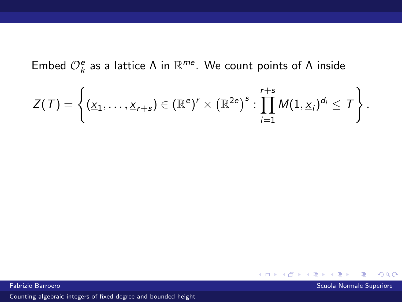Embed  $\mathcal{O}_{k}^{e}$  as a lattice  $\Lambda$  in  $\mathbb{R}^{me}$ . We count points of  $\Lambda$  inside

$$
Z(\mathcal{T})=\left\{(\underline{x}_1,\ldots,\underline{x}_{r+s})\in(\mathbb{R}^e)^r\times(\mathbb{R}^{2e})^s:\prod_{i=1}^{r+s}M(1,\underline{x}_i)^{d_i}\leq\mathcal{T}\right\}.
$$

 $299$ 

← ロ → → 伊 →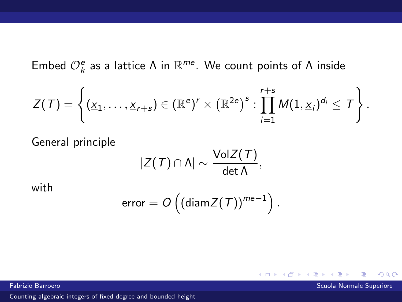Embed  $\mathcal{O}_{k}^{e}$  as a lattice  $\Lambda$  in  $\mathbb{R}^{me}$ . We count points of  $\Lambda$  inside

$$
Z(\mathcal{T})=\left\{(\underline{x}_1,\ldots,\underline{x}_{r+s})\in(\mathbb{R}^e)^r\times(\mathbb{R}^{2e})^s:\prod_{i=1}^{r+s}M(1,\underline{x}_i)^{d_i}\leq\mathcal{T}\right\}.
$$

General principle

$$
|Z(T) \cap \Lambda| \sim \frac{\text{Vol}Z(T)}{\det \Lambda},
$$

with

$$
error = O\left((\text{diam}\mathsf{Z}(\mathsf{T}))^{me-1}\right).
$$

**K ロ ▶ K 何 ▶** 

 $299$ 

Fabrizio Barroero Scuola Normale Superiore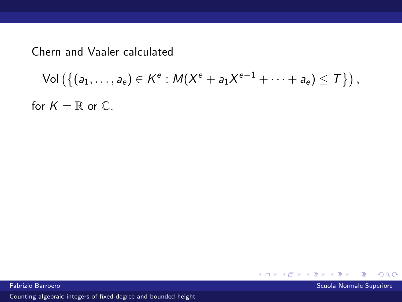Chern and Vaaler calculated

$$
\mathsf{Vol}\left(\left\{(a_1,\ldots,a_e)\in K^e: M(X^e+a_1X^{e-1}+\cdots+a_e)\leq T\right\}\right),
$$

for  $K = \mathbb{R}$  or  $\mathbb{C}$ .



Fabrizio Barroero Scuola Normale Superiore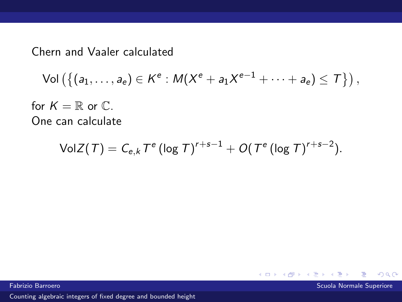Chern and Vaaler calculated

$$
\mathsf{Vol}\left(\left\{(a_1,\ldots,a_e)\in K^e: M(X^e+a_1X^{e-1}+\cdots+a_e)\leq T\right\}\right),
$$

for  $K = \mathbb{R}$  or  $\mathbb{C}$ . One can calculate

$$
VolZ(T) = C_{e,k} T^{e} (\log T)^{r+s-1} + O(T^{e} (\log T)^{r+s-2}).
$$

Fabrizio Barroero Scuola Normale Superiore (Scuola Normale Superiore Scuola Normale Superiore Scuola Normale Superiore

 $299$ 

← ロ → → 伊 →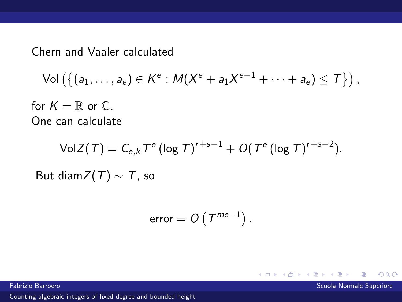Chern and Vaaler calculated

$$
\mathsf{Vol}\left(\left\{(a_1,\ldots,a_e)\in K^e: M(X^e+a_1X^{e-1}+\cdots+a_e)\leq T\right\}\right),
$$

for  $K = \mathbb{R}$  or  $\mathbb{C}$ . One can calculate

$$
\mathsf{VolZ}(\mathsf{T}) = C_{e,k} \mathsf{T}^e (\log \mathsf{T})^{r+s-1} + O(\mathsf{T}^e (\log \mathsf{T})^{r+s-2}).
$$
  
But diam $\mathsf{Z}(\mathsf{T}) \sim \mathsf{T}$ , so

$$
error = O\left(T^{me-1}\right).
$$

[Counting algebraic integers of fixed degree and bounded height](#page-0-0)

Fabrizio Barroero Scuola Normale Superiore (Normale Superiore Scuola Normale Superiore Scuola Normale Superiore

 $299$ 

← ロ → → 伊 →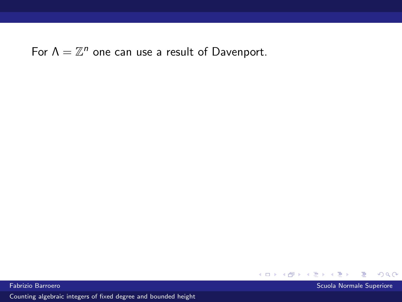For  $\Lambda = \mathbb{Z}^n$  one can use a result of Davenport.



Fabrizio Barroero Scuola Normale Superiore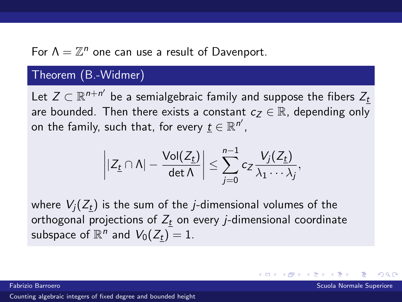For  $\Lambda = \mathbb{Z}^n$  one can use a result of Davenport.

#### Theorem (B.-Widmer)

Let  $Z \subset \mathbb{R}^{n+n'}$  be a semialgebraic family and suppose the fibers  $Z_{\underline{t}}$ are bounded. Then there exists a constant  $c_7 \in \mathbb{R}$ , depending only on the family, such that, for every  $\underline{t} \in \mathbb{R}^{n'}$ ,

$$
\left||Z_{\underline{t}}\cap\Lambda|-\frac{\mathsf{Vol}(Z_{\underline{t}})}{\mathsf{det}\,\Lambda}\right|\leq\sum_{j=0}^{n-1}c_Z\frac{V_j(Z_{\underline{t}})}{\lambda_1\cdots\lambda_j},
$$

where  $V_i(Z_t)$  is the sum of the *j*-dimensional volumes of the orthogonal projections of  $Z_t$  on every *j*-dimensional coordinate subspace of  $\mathbb{R}^n$  and  $\overline{V_0(Z_{\underline{t}})}=1.$ 

Fabrizio Barroero Scuola Normale Superiore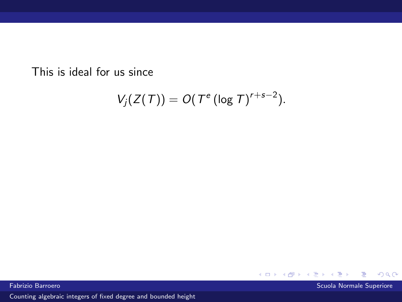This is ideal for us since

$$
V_j(Z(T))=O(T^e(\log T)^{r+s-2}).
$$

Fabrizio Barroero Scuola Normale Superiore

∍

 $299$ 

**Kロトメ部トメミ**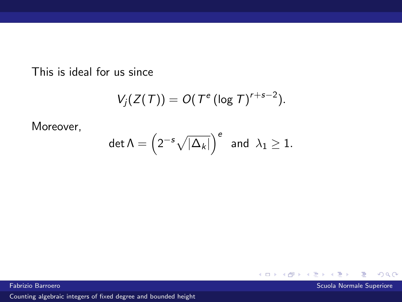This is ideal for us since

$$
V_j(Z(T))=O(T^e(\log T)^{r+s-2}).
$$

Moreover,

$$
\det \Lambda = \left(2^{-s}\sqrt{|\Delta_k|}\right)^e \text{ and } \lambda_1 \geq 1.
$$

Fabrizio Barroero Scuola Normale Superiore

 $299$ 

K ロ ▶ K 伊 ▶

Þ